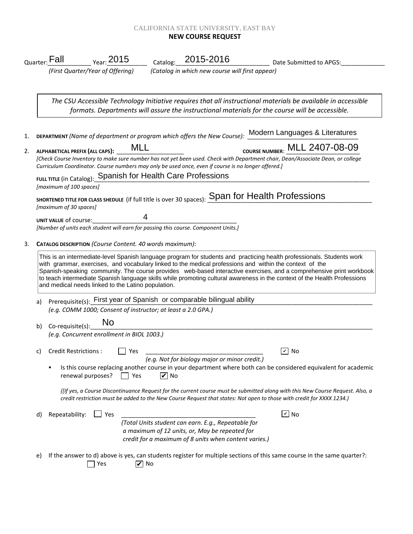## CALIFORNIA STATE UNIVERSITY, EAST BAY **NEW COURSE REQUEST**

|    |                                                                              | Catalog: 2015-2016<br><sub>Year:</sub> 2015<br><sub>Quarter:</sub> Fall<br>Date Submitted to APGS:                                                                                                                                                                                                                                                                                                                                                                                                                                          |  |  |  |  |
|----|------------------------------------------------------------------------------|---------------------------------------------------------------------------------------------------------------------------------------------------------------------------------------------------------------------------------------------------------------------------------------------------------------------------------------------------------------------------------------------------------------------------------------------------------------------------------------------------------------------------------------------|--|--|--|--|
|    |                                                                              | (Catalog in which new course will first appear)<br>(First Quarter/Year of Offering)                                                                                                                                                                                                                                                                                                                                                                                                                                                         |  |  |  |  |
|    |                                                                              | The CSU Accessible Technology Initiative requires that all instructional materials be available in accessible<br>formats. Departments will assure the instructional materials for the course will be accessible.                                                                                                                                                                                                                                                                                                                            |  |  |  |  |
| 1. |                                                                              | DEPARTMENT (Name of department or program which offers the New Course): Modern Languages & Literatures                                                                                                                                                                                                                                                                                                                                                                                                                                      |  |  |  |  |
| 2. |                                                                              | COURSE NUMBER: MLL 2407-08-09<br>MLL<br>ALPHABETICAL PREFIX (ALL CAPS):<br>[Check Course Inventory to make sure number has not yet been used. Check with Department chair, Dean/Associate Dean, or college<br>Curriculum Coordinator. Course numbers may only be used once, even if course is no longer offered.]                                                                                                                                                                                                                           |  |  |  |  |
|    |                                                                              | FULL TITLE (in Catalog): Spanish for Health Care Professions<br>[maximum of 100 spaces]                                                                                                                                                                                                                                                                                                                                                                                                                                                     |  |  |  |  |
|    |                                                                              | SHORTENED TITLE FOR CLASS SHEDULE (if full title is over 30 spaces): Span for Health Professions<br>[maximum of 30 spaces]                                                                                                                                                                                                                                                                                                                                                                                                                  |  |  |  |  |
|    |                                                                              | UNIT VALUE of course:<br>[Number of units each student will earn for passing this course. Component Units.]                                                                                                                                                                                                                                                                                                                                                                                                                                 |  |  |  |  |
| 3. |                                                                              | CATALOG DESCRIPTION (Course Content. 40 words maximum):                                                                                                                                                                                                                                                                                                                                                                                                                                                                                     |  |  |  |  |
|    |                                                                              | This is an intermediate-level Spanish language program for students and practicing health professionals. Students work<br>with grammar, exercises, and vocabulary linked to the medical professions and within the context of the<br>Spanish-speaking community. The course provides web-based interactive exercises, and a comprehensive print workbook<br>to teach intermediate Spanish language skills while promoting cultural awareness in the context of the Health Professions<br>and medical needs linked to the Latino population. |  |  |  |  |
|    | Prerequisite(s): First year of Spanish or comparable bilingual ability<br>a) |                                                                                                                                                                                                                                                                                                                                                                                                                                                                                                                                             |  |  |  |  |
|    |                                                                              | (e.g. COMM 1000; Consent of instructor; at least a 2.0 GPA.)                                                                                                                                                                                                                                                                                                                                                                                                                                                                                |  |  |  |  |
|    | b)                                                                           | No<br>Co-requisite(s):                                                                                                                                                                                                                                                                                                                                                                                                                                                                                                                      |  |  |  |  |
|    |                                                                              | (e.g. Concurrent enrollment in BIOL 1003.)                                                                                                                                                                                                                                                                                                                                                                                                                                                                                                  |  |  |  |  |
|    |                                                                              | Credit Restrictions : □ Yes<br>$\boxed{\mathbf{v}}$ No<br>(e.g. Not for biology major or minor credit.)                                                                                                                                                                                                                                                                                                                                                                                                                                     |  |  |  |  |
|    |                                                                              | Is this course replacing another course in your department where both can be considered equivalent for academic<br>٠<br>$\triangledown$ No<br>renewal purposes?<br>Yes                                                                                                                                                                                                                                                                                                                                                                      |  |  |  |  |
|    |                                                                              | (Itf yes, a Course Discontinuance Request for the current course must be submitted along with this New Course Request. Also, a<br>credit restriction must be added to the New Course Request that states: Not open to those with credit for XXXX 1234.)                                                                                                                                                                                                                                                                                     |  |  |  |  |
|    | d)                                                                           | $\boxed{\mathsf{v}}$ No<br>$\Box$ Yes<br>Repeatability:                                                                                                                                                                                                                                                                                                                                                                                                                                                                                     |  |  |  |  |
|    |                                                                              | (Total Units student can earn. E.g., Repeatable for<br>a maximum of 12 units, or, May be repeated for<br>credit for a maximum of 8 units when content varies.)                                                                                                                                                                                                                                                                                                                                                                              |  |  |  |  |
|    | e)                                                                           | If the answer to d) above is yes, can students register for multiple sections of this same course in the same quarter?:<br>Yes<br>$\triangledown$ No                                                                                                                                                                                                                                                                                                                                                                                        |  |  |  |  |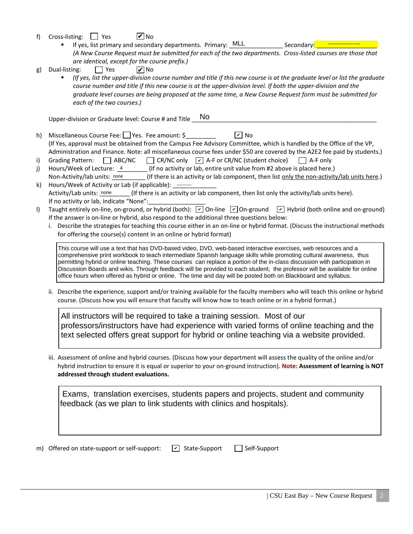- f) Cross-listing:  $\Box$  Yes **V** No
	- If yes, list primary and secondary departments. Primary: \_MLL *(A New Course Request must be submitted for each of the two departments. Cross-listed courses are those that are identical, except for the course prefix.)* Secondary:
- g) Dual-listing:  $\Box$  Yes **V** No
	- *(If yes, list the upper-division course number and title if this new course is at the graduate level or list the graduate course number and title if this new course is at the upper-division level. If both the upper-division and the graduate level courses are being proposed at the same time, a New Course Request form must be submitted for each of the two courses.)*

Upper-division or Graduate level: Course # and Title \_ No

- h) Miscellaneous Course Fee: Yes. Fee amount: \$ (If Yes, approval must be obtained from the Campus Fee Advisory Committee, which is handled by the Office of the VP, Administration and Finance. Note: all miscellaneous course fees under \$50 are covered by the A2E2 fee paid by students.)  $\boxed{v}$  No
- i) Grading Pattern:  $\Box$  ABC/NC  $\Box$  CR/NC only  $\Box$  A-F or CR/NC (student choice)  $\Box$  A-F only
- j) Hours/Week of Lecture:  $\frac{4}{100}$  (If no activity or lab, entire unit value from #2 above is placed here.)
- Non-Activity/lab units: none \_\_\_\_\_\_\_ (If there is an activity or lab component, then list <u>only the non-activity/lab units here</u>.)<br>Hours/Week of Activity or Lab (if applicable): ………… k) Hours/Week of Activity or Lab (if applicable): --------- $\Gamma$  (If there is an activity or lab component, then list only the activity/lab units here). If no activity or lab, indicate "None": Activity/Lab units: none
- I) Taught entirely on-line, on-ground, or hybrid (both):  $\boxed{\check{\phantom{a}}}$  On-line  $\boxed{\check{\phantom{a}}}$  On-ground  $\boxed{\check{\phantom{a}}}$  Hybrid (both online and on-ground) If the answer is on-line or hybrid, also respond to the additional three questions below:
	- i. Describe the strategies for teaching this course either in an on-line or hybrid format. (Discuss the instructional methods for offering the course(s) content in an online or hybrid format)

This course will use a text that has DVD-based video, DVD, web-based interactive exercises, web resources and a comprehensive print workbook to teach intermediate Spanish language skills while promoting cultural awareness, thus permitting hybrid or online teaching. These courses can replace a portion of the in-class discussion with participation in Discussion Boards and wikis. Through feedback will be provided to each student; the professor will be available for online office hours when offered as hybrid or online. The time and day will be posted both on Blackboard and syllabus.

ii. Describe the experience, support and/or training available for the faculty members who will teach this online or hybrid course. (Discuss how you will ensure that faculty will know how to teach online or in a hybrid format.)

All instructors will be required to take a training session. Most of our professors/instructors have had experience with varied forms of online teaching and the text selected offers great support for hybrid or online teaching via a website provided.

iii. Assessment of online and hybrid courses. (Discuss how your department will assess the quality of the online and/or hybrid instruction to ensure it is equal or superior to your on-ground instruction). **Note: Assessment of learning is NOT addressed through student evaluations.**

 Exams, translation exercises, students papers and projects, student and community feedback (as we plan to link students with clinics and hospitals).

m) Offered on state-support or self-support:  $\boxed{\triangleright}$  State-Support  $\boxed{\phantom{\cdot}}$  Self-Support  $\boxed{\mathbf{v}}$  State-Support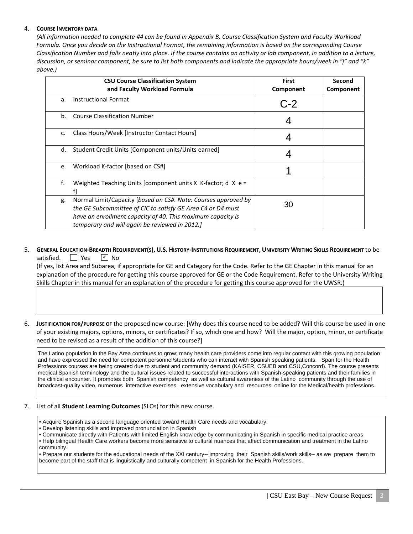## 4. **COURSE INVENTORY DATA**

*(All information needed to complete #4 can be found in Appendix B, Course Classification System and Faculty Workload Formula. Once you decide on the Instructional Format, the remaining information is based on the corresponding Course Classification Number and falls neatly into place. If the course contains an activity or lab component, in addition to a lecture, discussion, or seminar component, be sure to list both components and indicate the appropriate hours/week in "j" and "k" above.)*

|    | <b>CSU Course Classification System</b><br>and Faculty Workload Formula                                                                                                                                                                        | <b>First</b><br>Component | Second<br>Component |
|----|------------------------------------------------------------------------------------------------------------------------------------------------------------------------------------------------------------------------------------------------|---------------------------|---------------------|
| a. | <b>Instructional Format</b>                                                                                                                                                                                                                    | $C-2$                     |                     |
| b. | <b>Course Classification Number</b>                                                                                                                                                                                                            |                           |                     |
| c. | Class Hours/Week [Instructor Contact Hours]                                                                                                                                                                                                    |                           |                     |
| d. | Student Credit Units [Component units/Units earned]                                                                                                                                                                                            |                           |                     |
| e. | Workload K-factor [based on CS#]                                                                                                                                                                                                               |                           |                     |
| f. | Weighted Teaching Units [component units X K-factor; d X $e =$                                                                                                                                                                                 |                           |                     |
| g. | Normal Limit/Capacity [based on CS#. Note: Courses approved by<br>the GE Subcommittee of CIC to satisfy GE Area C4 or D4 must<br>have an enrollment capacity of 40. This maximum capacity is<br>temporary and will again be reviewed in 2012.] | 30                        |                     |

#### 5. **GENERAL EDUCATION-BREADTH REQUIREMENT(S), U.S. HISTORY-INSTITUTIONS REQUIREMENT, UNIVERSITY WRITING SKILLS REQUIREMENT** to be satisfied.  $\Box$  Yes  $\sqrt{V}$  No

 (If yes, list Area and Subarea, if appropriate for GE and Category for the Code. Refer to the GE Chapter in this manual for an explanation of the procedure for getting this course approved for GE or the Code Requirement. Refer to the University Writing Skills Chapter in this manual for an explanation of the procedure for getting this course approved for the UWSR.)

6. **JUSTIFICATION FOR/PURPOSE OF** the proposed new course: [Why does this course need to be added? Will this course be used in one of your existing majors, options, minors, or certificates? If so, which one and how? Will the major, option, minor, or certificate need to be revised as a result of the addition of this course?]

The Latino population in the Bay Area continues to grow; many health care providers come into regular contact with this growing population and have expressed the need for competent personnel/students who can interact with Spanish speaking patients. Span for the Health Professions courses are being created due to student and community demand (KAISER, CSUEB and CSU,Concord). The course presents medical Spanish terminology and the cultural issues related to successful interactions with Spanish-speaking patients and their families in the clinical encounter. It promotes both Spanish competency as well as cultural awareness of the Latino community through the use of broadcast-quality video, numerous interactive exercises, extensive vocabulary and resources online for the Medical/health professions.

### 7. List of all **Student Learning Outcomes** (SLOs) for this new course.

- Acquire Spanish as a second language oriented toward Health Care needs and vocabulary.
- Develop listening skills and improved pronunciation in Spanish
- Communicate directly with Patients with limited English knowledge by communicating in Spanish in specific medical practice areas

• Help bilingual Health Care workers become more sensitive to cultural nuances that affect communication and treatment in the Latino community.

• Prepare our students for the educational needs of the XXI century-- improving their Spanish skills/work skills-- as we prepare them to become part of the staff that is linguistically and culturally competent in Spanish for the Health Professions.